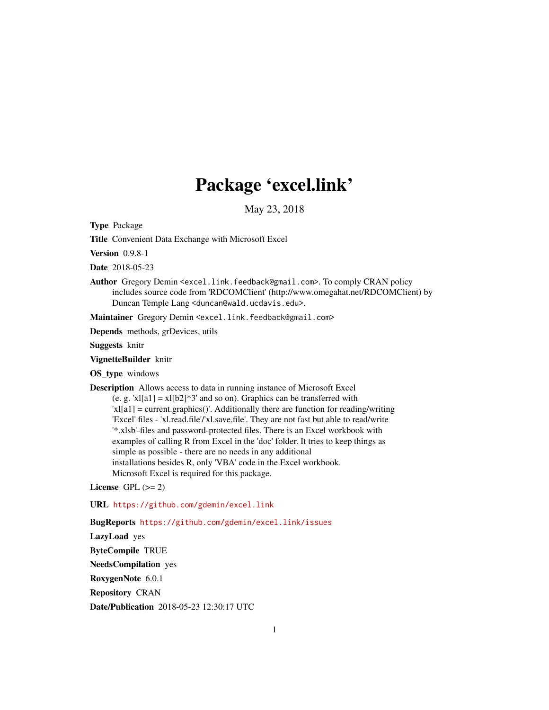# Package 'excel.link'

May 23, 2018

<span id="page-0-0"></span>Type Package

Title Convenient Data Exchange with Microsoft Excel

Version 0.9.8-1

Date 2018-05-23

Author Gregory Demin <excel.link.feedback@gmail.com>. To comply CRAN policy includes source code from 'RDCOMClient' (http://www.omegahat.net/RDCOMClient) by Duncan Temple Lang <duncan@wald.ucdavis.edu>.

Maintainer Gregory Demin <excel.link.feedback@gmail.com>

Depends methods, grDevices, utils

Suggests knitr

VignetteBuilder knitr

OS\_type windows

Description Allows access to data in running instance of Microsoft Excel

(e. g. 'xl[a1] = xl[b2]\*3' and so on). Graphics can be transferred with 'xl[a1] = current.graphics()'. Additionally there are function for reading/writing 'Excel' files - 'xl.read.file'/'xl.save.file'. They are not fast but able to read/write '\*.xlsb'-files and password-protected files. There is an Excel workbook with examples of calling R from Excel in the 'doc' folder. It tries to keep things as simple as possible - there are no needs in any additional installations besides R, only 'VBA' code in the Excel workbook. Microsoft Excel is required for this package.

License GPL  $(>= 2)$ 

URL <https://github.com/gdemin/excel.link>

BugReports <https://github.com/gdemin/excel.link/issues>

LazyLoad yes ByteCompile TRUE NeedsCompilation yes RoxygenNote 6.0.1 Repository CRAN

Date/Publication 2018-05-23 12:30:17 UTC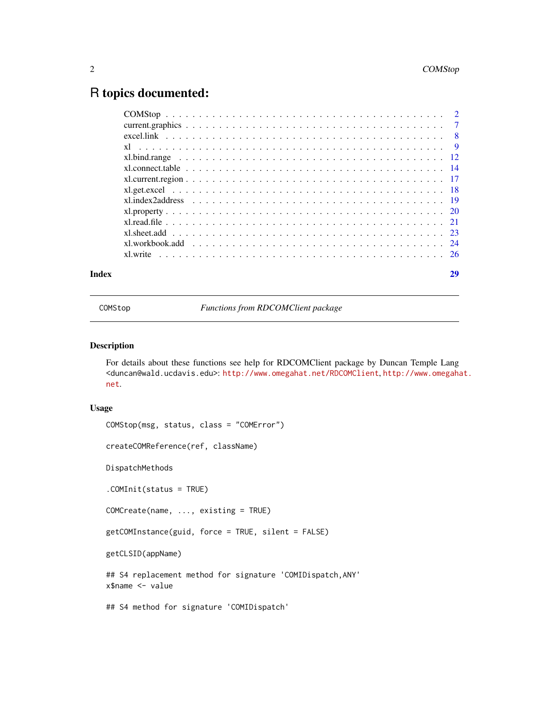# <span id="page-1-0"></span>R topics documented:

| Index |                                                                                                                    |  |
|-------|--------------------------------------------------------------------------------------------------------------------|--|
|       | x. x. $\frac{1}{26}$                                                                                               |  |
|       |                                                                                                                    |  |
|       |                                                                                                                    |  |
|       |                                                                                                                    |  |
|       |                                                                                                                    |  |
|       | $x1.$ index 2 address $\ldots \ldots \ldots \ldots \ldots \ldots \ldots \ldots \ldots \ldots \ldots \ldots \ldots$ |  |
|       |                                                                                                                    |  |
|       |                                                                                                                    |  |
|       |                                                                                                                    |  |
|       |                                                                                                                    |  |
|       |                                                                                                                    |  |
|       |                                                                                                                    |  |
|       |                                                                                                                    |  |
|       |                                                                                                                    |  |

COMStop *Functions from RDCOMClient package*

# Description

For details about these functions see help for RDCOMClient package by Duncan Temple Lang <duncan@wald.ucdavis.edu>: <http://www.omegahat.net/RDCOMClient>, [http://www.omegaha](http://www.omegahat.net)t. [net](http://www.omegahat.net).

#### Usage

```
COMStop(msg, status, class = "COMError")
createCOMReference(ref, className)
DispatchMethods
.COMInit(status = TRUE)
COMCreate(name, ..., existing = TRUE)
getCOMInstance(guid, force = TRUE, silent = FALSE)
getCLSID(appName)
## S4 replacement method for signature 'COMIDispatch,ANY'
x$name <- value
## S4 method for signature 'COMIDispatch'
```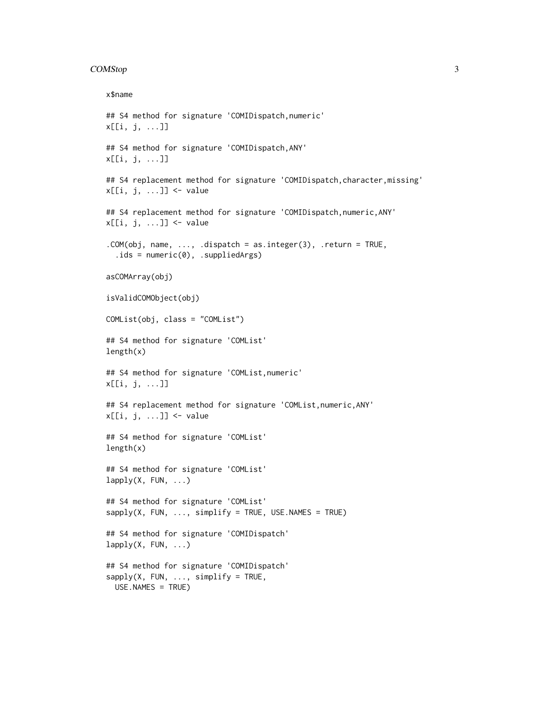#### COMStop 3

```
x$name
## S4 method for signature 'COMIDispatch,numeric'
x[[i, j, ...]]
## S4 method for signature 'COMIDispatch,ANY'
x[[i, j, ...]]
## S4 replacement method for signature 'COMIDispatch, character, missing'
x[[i, j, ...]] <- value
## S4 replacement method for signature 'COMIDispatch,numeric,ANY'
x[[i, j, ...]] \leftarrow value
.COM(obj, name, ..., .dispatch = as.integer(3), .return = TRUE,
  : ids = numeric(0), :\text{suppliedArgs})asCOMArray(obj)
isValidCOMObject(obj)
COMList(obj, class = "COMList")
## S4 method for signature 'COMList'
length(x)
## S4 method for signature 'COMList,numeric'
x[[i, j, ...]]
## S4 replacement method for signature 'COMList,numeric,ANY'
x[[i, j, ...]] <- value
## S4 method for signature 'COMList'
length(x)
## S4 method for signature 'COMList'
lapply(X, FUN, \ldots)
## S4 method for signature 'COMList'
sapply(X, FUN, ..., simplify = TRUE, USE.NAMES = TRUE)## S4 method for signature 'COMIDispatch'
lapply(X, FUN, ...)## S4 method for signature 'COMIDispatch'
sapply(X, FUN, ..., simplify = TRUE,USE.NAMES = TRUE)
```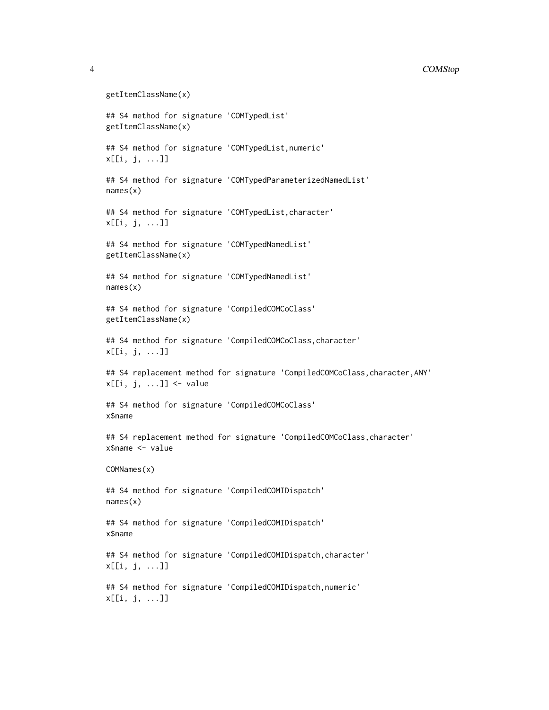#### 4 COMStop

```
getItemClassName(x)
## S4 method for signature 'COMTypedList'
getItemClassName(x)
## S4 method for signature 'COMTypedList,numeric'
x[[i, j, ...]]
## S4 method for signature 'COMTypedParameterizedNamedList'
names(x)
## S4 method for signature 'COMTypedList,character'
x[[i, j, ...]]
## S4 method for signature 'COMTypedNamedList'
getItemClassName(x)
## S4 method for signature 'COMTypedNamedList'
names(x)
## S4 method for signature 'CompiledCOMCoClass'
getItemClassName(x)
## S4 method for signature 'CompiledCOMCoClass, character'
x[[i, j, ...]]
## S4 replacement method for signature 'CompiledCOMCoClass,character,ANY'
x[[i, j, ...]] <- value
## S4 method for signature 'CompiledCOMCoClass'
x$name
## S4 replacement method for signature 'CompiledCOMCoClass,character'
x$name <- value
COMNames(x)
## S4 method for signature 'CompiledCOMIDispatch'
names(x)
## S4 method for signature 'CompiledCOMIDispatch'
x$name
## S4 method for signature 'CompiledCOMIDispatch, character'
x[[i, j, ...]]
## S4 method for signature 'CompiledCOMIDispatch,numeric'
x[[i, j, ...]]
```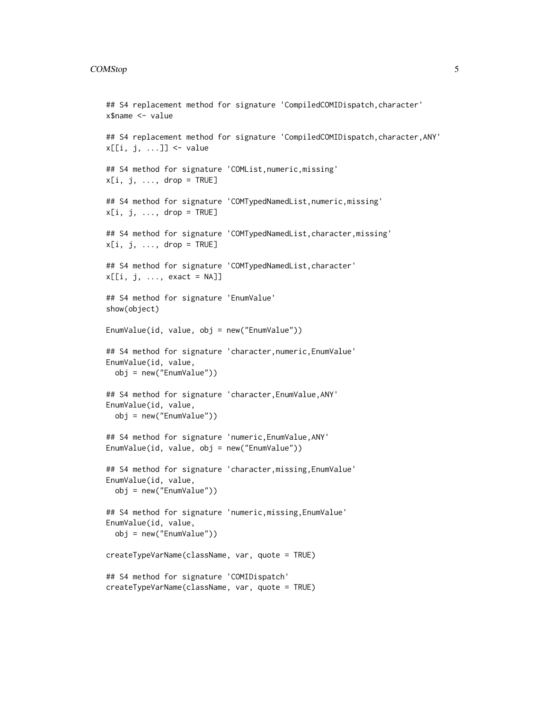#### COMStop 5

```
## S4 replacement method for signature 'CompiledCOMIDispatch,character'
x$name <- value
## S4 replacement method for signature 'CompiledCOMIDispatch,character,ANY'
x[[i, j, ...]] <- value
## S4 method for signature 'COMList,numeric,missing'
x[i, j, \ldots, drop = TRUE]## S4 method for signature 'COMTypedNamedList, numeric, missing'
x[i, j, \ldots, drop = TRUE]## S4 method for signature 'COMTypedNamedList, character, missing'
x[i, j, ..., drop = TRUE]## S4 method for signature 'COMTypedNamedList, character'
x[[i, j, ..., exact = NA]]## S4 method for signature 'EnumValue'
show(object)
EnumValue(id, value, obj = new("EnumValue"))
## S4 method for signature 'character,numeric,EnumValue'
EnumValue(id, value,
  obj = new("EnumValue"))
## S4 method for signature 'character,EnumValue,ANY'
EnumValue(id, value,
  obj = new("EnumValue"))
## S4 method for signature 'numeric,EnumValue,ANY'
EnumValue(id, value, obj = new("EnumValue"))
## S4 method for signature 'character,missing,EnumValue'
EnumValue(id, value,
  obj = new("EnumValue"))
## S4 method for signature 'numeric,missing,EnumValue'
EnumValue(id, value,
  obj = new("EnumValue"))
createTypeVarName(className, var, quote = TRUE)
## S4 method for signature 'COMIDispatch'
createTypeVarName(className, var, quote = TRUE)
```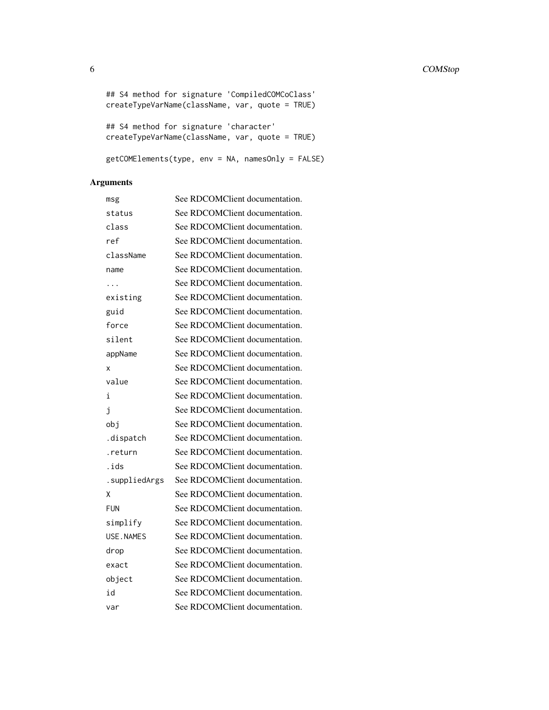```
## S4 method for signature 'CompiledCOMCoClass'
createTypeVarName(className, var, quote = TRUE)
## S4 method for signature 'character'
createTypeVarName(className, var, quote = TRUE)
getCOMElements(type, env = NA, namesOnly = FALSE)
```
# Arguments

| msg           | See RDCOMClient documentation. |
|---------------|--------------------------------|
| status        | See RDCOMClient documentation. |
| class         | See RDCOMClient documentation. |
| ref           | See RDCOMClient documentation. |
| className     | See RDCOMClient documentation. |
| name          | See RDCOMClient documentation. |
| .             | See RDCOMClient documentation. |
| existing      | See RDCOMClient documentation. |
| guid          | See RDCOMClient documentation. |
| force         | See RDCOMClient documentation. |
| silent        | See RDCOMClient documentation. |
| appName       | See RDCOMClient documentation. |
| x             | See RDCOMClient documentation. |
| value         | See RDCOMClient documentation. |
| i             | See RDCOMClient documentation. |
| j             | See RDCOMClient documentation. |
| obj           | See RDCOMClient documentation. |
| .dispatch     | See RDCOMClient documentation. |
| .return       | See RDCOMClient documentation. |
| .ids          | See RDCOMClient documentation. |
| .suppliedArgs | See RDCOMClient documentation. |
| Χ             | See RDCOMClient documentation. |
| <b>FUN</b>    | See RDCOMClient documentation. |
| simplify      | See RDCOMClient documentation. |
| USE, NAMES    | See RDCOMClient documentation. |
| drop          | See RDCOMClient documentation. |
| exact         | See RDCOMClient documentation. |
| object        | See RDCOMClient documentation. |
| id            | See RDCOMClient documentation. |
| var           | See RDCOMClient documentation. |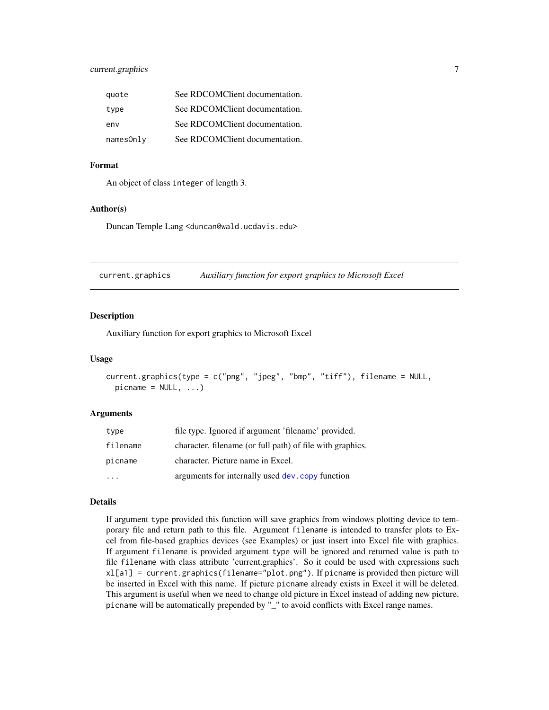# <span id="page-6-0"></span>current.graphics 7

| quote     | See RDCOMClient documentation. |
|-----------|--------------------------------|
| type      | See RDCOMClient documentation. |
| env       | See RDCOMClient documentation. |
| namesOnly | See RDCOMClient documentation. |

#### Format

An object of class integer of length 3.

#### Author(s)

Duncan Temple Lang <duncan@wald.ucdavis.edu>

<span id="page-6-1"></span>current.graphics *Auxiliary function for export graphics to Microsoft Excel*

# **Description**

Auxiliary function for export graphics to Microsoft Excel

#### Usage

```
current.graphics(type = c("png", "jpeg", "bmp", "tiff"), filename = NULL,
 picname = NULL, ...
```
#### Arguments

| type                    | file type. Ignored if argument 'filename' provided.       |
|-------------------------|-----------------------------------------------------------|
| filename                | character. filename (or full path) of file with graphics. |
| picname                 | character. Picture name in Excel.                         |
| $\cdot$ $\cdot$ $\cdot$ | arguments for internally used dev. copy function          |

# Details

If argument type provided this function will save graphics from windows plotting device to temporary file and return path to this file. Argument filename is intended to transfer plots to Excel from file-based graphics devices (see Examples) or just insert into Excel file with graphics. If argument filename is provided argument type will be ignored and returned value is path to file filename with class attribute 'current.graphics'. So it could be used with expressions such xl[a1] = current.graphics(filename="plot.png"). If picname is provided then picture will be inserted in Excel with this name. If picture picname already exists in Excel it will be deleted. This argument is useful when we need to change old picture in Excel instead of adding new picture. picname will be automatically prepended by "\_" to avoid conflicts with Excel range names.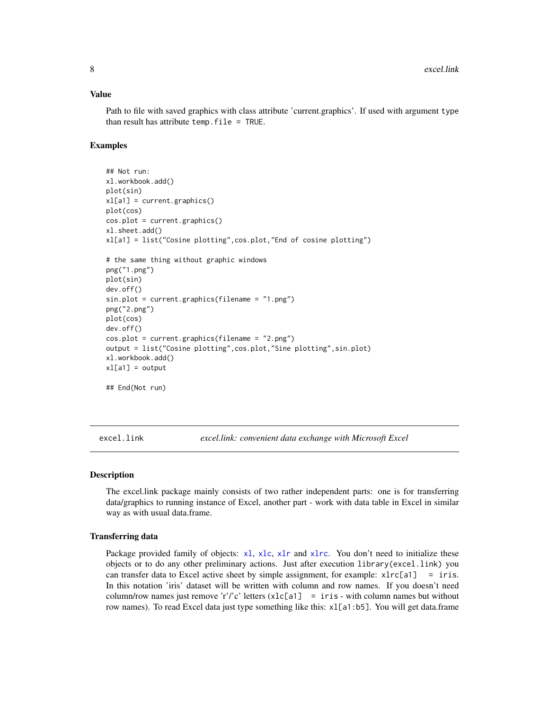#### <span id="page-7-0"></span>Value

Path to file with saved graphics with class attribute 'current.graphics'. If used with argument type than result has attribute temp.file = TRUE.

# Examples

```
## Not run:
xl.workbook.add()
plot(sin)
xl[a1] = current.graphics()
plot(cos)
cos.plot = current.graphics()
xl.sheet.add()
xl[a1] = list("Cosine plotting",cos.plot,"End of cosine plotting")
# the same thing without graphic windows
png("1.png")
plot(sin)
dev.off()
sin.plot = current.graphics(filename = "1.png")
png("2.png")
plot(cos)
dev.off()
cos.plot = current.graphics(filename = "2.png")
output = list("Cosine plotting",cos.plot,"Sine plotting",sin.plot)
xl.workbook.add()
x1[a1] = output## End(Not run)
```
excel.link *excel.link: convenient data exchange with Microsoft Excel*

#### Description

The excel.link package mainly consists of two rather independent parts: one is for transferring data/graphics to running instance of Excel, another part - work with data table in Excel in similar way as with usual data.frame.

#### Transferring data

Package provided family of objects:  $x\lambda$ ,  $x\lambda$ ,  $x\lambda$ , and  $x\lambda$ , You don't need to initialize these objects or to do any other preliminary actions. Just after execution library(excel.link) you can transfer data to Excel active sheet by simple assignment, for example:  $x\text{lrc[a1]} = \text{iris.}$ In this notation 'iris' dataset will be written with column and row names. If you doesn't need column/row names just remove 'r'/'c' letters  $(xlc[a1] = iris - with column names but without$ row names). To read Excel data just type something like this: xl[a1:b5]. You will get data.frame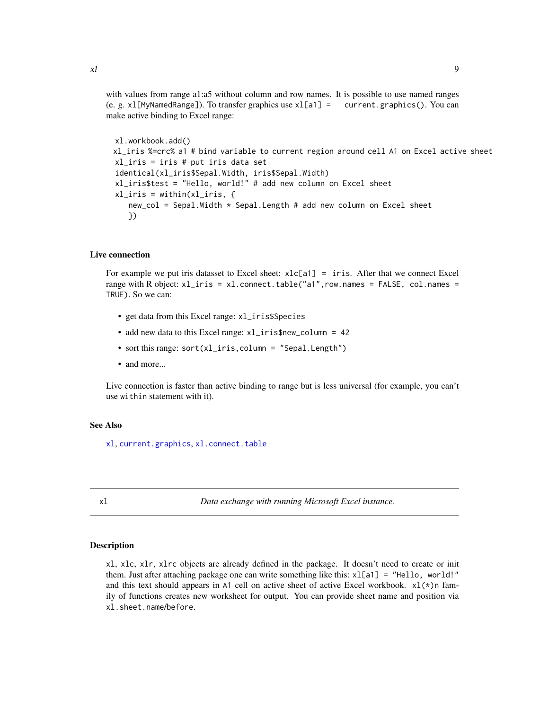<span id="page-8-0"></span>with values from range a1:a5 without column and row names. It is possible to use named ranges (e. g. xl[MyNamedRange]). To transfer graphics use xl[a1] = current.graphics(). You can make active binding to Excel range:

```
xl.workbook.add()
xl_iris %=crc% a1 # bind variable to current region around cell A1 on Excel active sheet
xl_iris = iris # put iris data set
identical(xl_iris$Sepal.Width, iris$Sepal.Width)
xl_iris$test = "Hello, world!" # add new column on Excel sheet
xl_iris = within(xl_iris, {
   new_{col} = Sepal.Width * Sepal.Length # add new column on Excel sheet})
```
#### Live connection

For example we put iris datasset to Excel sheet:  $xlc[a1] = iris$ . After that we connect Excel range with R object: xl\_iris = xl.connect.table("a1",row.names = FALSE, col.names = TRUE). So we can:

- get data from this Excel range: xl\_iris\$Species
- add new data to this Excel range: xl\_iris\$new\_column = 42
- sort this range: sort(xl\_iris, column = "Sepal.Length")
- and more...

Live connection is faster than active binding to range but is less universal (for example, you can't use within statement with it).

# See Also

[xl](#page-8-1), [current.graphics](#page-6-1), [xl.connect.table](#page-13-1)

<span id="page-8-1"></span>

xl *Data exchange with running Microsoft Excel instance.*

#### <span id="page-8-2"></span>Description

xl, xlc, xlr, xlrc objects are already defined in the package. It doesn't need to create or init them. Just after attaching package one can write something like this:  $x1[a1] =$  "Hello, world!" and this text should appears in A1 cell on active sheet of active Excel workbook.  $x1(*)$ n family of functions creates new worksheet for output. You can provide sheet name and position via xl.sheet.name/before.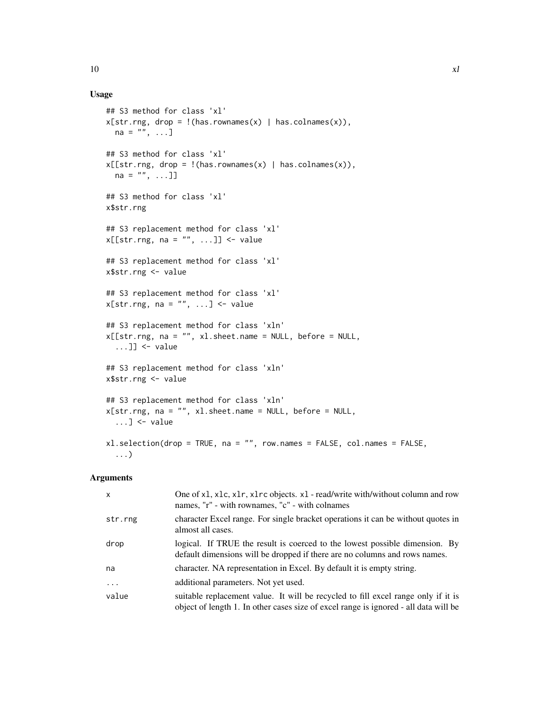# Usage

```
## S3 method for class 'xl'
x[str.rng, drop = !(has.rownames(x) | has.colnames(x)),na = "", ...]## S3 method for class 'xl'
x[[str.rng, drop = !(has.rownames(x) | has.colnames(x)),na = "", ... ]## S3 method for class 'xl'
x$str.rng
## S3 replacement method for class 'xl'
x[[str.rng, na = "", ...]] \leftarrow value## S3 replacement method for class 'xl'
x$str.rng <- value
## S3 replacement method for class 'xl'
x[str.rng, na = "", ...] \leq value## S3 replacement method for class 'xln'
x[[str.rng, na = "", xl.sheet.name = NULL, before = NULL,
  \dots]] <- value
## S3 replacement method for class 'xln'
x$str.rng <- value
## S3 replacement method for class 'xln'
x[str.rng, na = "", xl.sheet.name = NULL, before = NULL,
  \dots] <- value
xl.selection(drop = TRUE, na = "", row.names = FALSE, col.names = FALSE,
  ...)
```
#### Arguments

| $\mathsf{x}$ | One of $x1$ , $x1c$ , $x1r$ , $x1rc$ objects. $x1$ - read/write with/without column and row<br>names, "r" - with rownames, "c" - with colnames                            |
|--------------|---------------------------------------------------------------------------------------------------------------------------------------------------------------------------|
| str.rng      | character Excel range. For single bracket operations it can be without quotes in<br>almost all cases.                                                                     |
| drop         | logical. If TRUE the result is coerced to the lowest possible dimension. By<br>default dimensions will be dropped if there are no columns and rows names.                 |
| na           | character. NA representation in Excel. By default it is empty string.                                                                                                     |
| $\ddots$     | additional parameters. Not yet used.                                                                                                                                      |
| value        | suitable replacement value. It will be recycled to fill excel range only if it is<br>object of length 1. In other cases size of excel range is ignored - all data will be |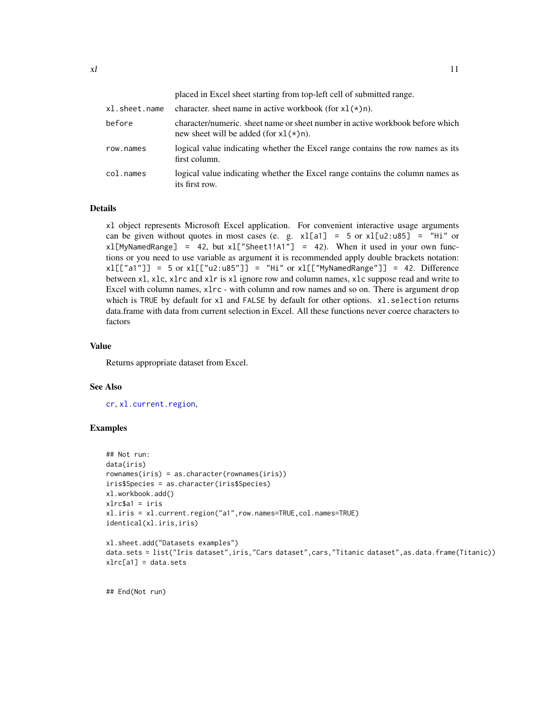<span id="page-10-0"></span>placed in Excel sheet starting from top-left cell of submitted range. x1. sheet.name character. sheet name in active workbook (for  $x1(*)n$ ). before character/numeric. sheet name or sheet number in active workbook before which new sheet will be added (for  $x1(*)n$ ).

- row.names logical value indicating whether the Excel range contains the row names as its first column.
- col.names logical value indicating whether the Excel range contains the column names as its first row.

#### Details

xl object represents Microsoft Excel application. For convenient interactive usage arguments can be given without quotes in most cases (e. g.  $x1[a1] = 5$  or  $x1[u2:u85] = "Hi"$  or  $x1$ [MyNamedRange] = 42, but  $x1$ ["Sheet1!A1"] = 42). When it used in your own functions or you need to use variable as argument it is recommended apply double brackets notation:  $x1[['a1''] ] = 5$  or  $x1[['u2:u85''] ] = "Hi"$  or  $x1[['MyNamedRange''] ] = 42$ . Difference between xl, xlc, xlrc and xlr is xl ignore row and column names, xlc suppose read and write to Excel with column names,  $x\ln c$  - with column and row names and so on. There is argument drop which is TRUE by default for xl and FALSE by default for other options. xl.selection returns data.frame with data from current selection in Excel. All these functions never coerce characters to factors

# Value

Returns appropriate dataset from Excel.

#### See Also

[cr](#page-16-1), [xl.current.region](#page-16-2),

#### Examples

```
## Not run:
data(iris)
rownames(iris) = as.character(rownames(iris))
iris$Species = as.character(iris$Species)
xl.workbook.add()
xlrc$a1 = iris
xl.iris = xl.current.region("a1",row.names=TRUE,col.names=TRUE)
identical(xl.iris,iris)
xl.sheet.add("Datasets examples")
```

```
data.sets = list("Iris dataset",iris,"Cars dataset",cars,"Titanic dataset",as.data.frame(Titanic))
xlrc[a1] = data.sets
```
## End(Not run)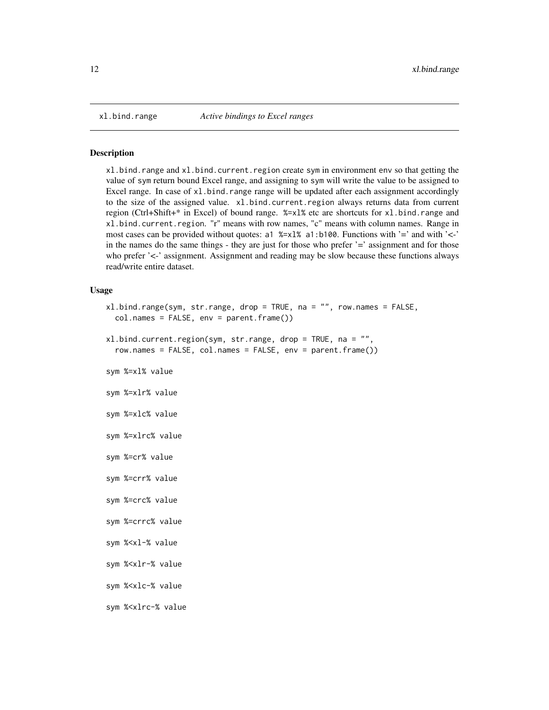<span id="page-11-0"></span>

#### Description

xl.bind.range and xl.bind.current.region create sym in environment env so that getting the value of sym return bound Excel range, and assigning to sym will write the value to be assigned to Excel range. In case of  $x1$  bind. range range will be updated after each assignment accordingly to the size of the assigned value. xl.bind.current.region always returns data from current region (Ctrl+Shift+\* in Excel) of bound range. %=xl% etc are shortcuts for xl.bind.range and xl.bind.current.region. "r" means with row names, "c" means with column names. Range in most cases can be provided without quotes: a1  $\frac{8}{2} \times 1\%$  a1:b100. Functions with '=' and with '<-' in the names do the same things - they are just for those who prefer '=' assignment and for those who prefer '<-' assignment. Assignment and reading may be slow because these functions always read/write entire dataset.

#### Usage

```
xl.bind.range(sym, str.range, drop = TRUE, na = "", row.names = FALSE,
  col.names = FALSE, env = parent.frame())
```

```
xl.bind.current.region(sym, str.range, drop = TRUE, na = "",
  row.names = FALSE, col.names = FALSE, env = parent.frame())
```
sym %=xl% value

sym %=xlr% value

- sym %=xlc% value
- sym %=xlrc% value
- sym %=cr% value
- sym %=crr% value
- sym %=crc% value
- sym %=crrc% value

```
sym %<xl-% value
```
- sym %<xlr-% value
- sym %<xlc-% value

```
sym %<xlrc-% value
```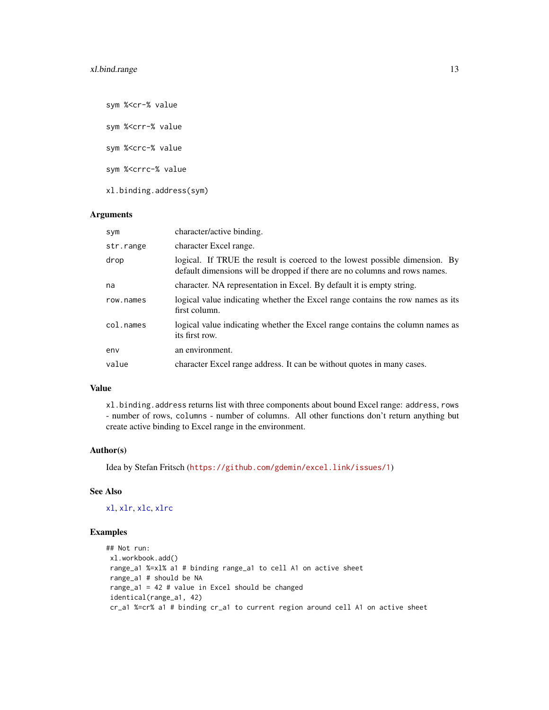<span id="page-12-0"></span>sym %<cr-% value sym %<crr-% value sym %<crc-% value sym %<crrc-% value xl.binding.address(sym)

#### Arguments

| sym       | character/active binding.                                                                                                                                 |
|-----------|-----------------------------------------------------------------------------------------------------------------------------------------------------------|
| str.range | character Excel range.                                                                                                                                    |
| drop      | logical. If TRUE the result is coerced to the lowest possible dimension. By<br>default dimensions will be dropped if there are no columns and rows names. |
| na        | character. NA representation in Excel. By default it is empty string.                                                                                     |
| row.names | logical value indicating whether the Excel range contains the row names as its<br>first column.                                                           |
| col.names | logical value indicating whether the Excel range contains the column names as<br>its first row.                                                           |
| env       | an environment.                                                                                                                                           |
| value     | character Excel range address. It can be without quotes in many cases.                                                                                    |

# Value

xl.binding.address returns list with three components about bound Excel range: address, rows - number of rows, columns - number of columns. All other functions don't return anything but create active binding to Excel range in the environment.

# Author(s)

Idea by Stefan Fritsch (<https://github.com/gdemin/excel.link/issues/1>)

# See Also

[xl](#page-8-1), [xlr](#page-8-2), [xlc](#page-8-2), [xlrc](#page-8-2)

# Examples

```
## Not run:
xl.workbook.add()
range_a1 %=xl% a1 # binding range_a1 to cell A1 on active sheet
range_a1 # should be NA
range_a1 = 42 # value in Excel should be changed
identical(range_a1, 42)
cr_a1 %=cr% a1 # binding cr_a1 to current region around cell A1 on active sheet
```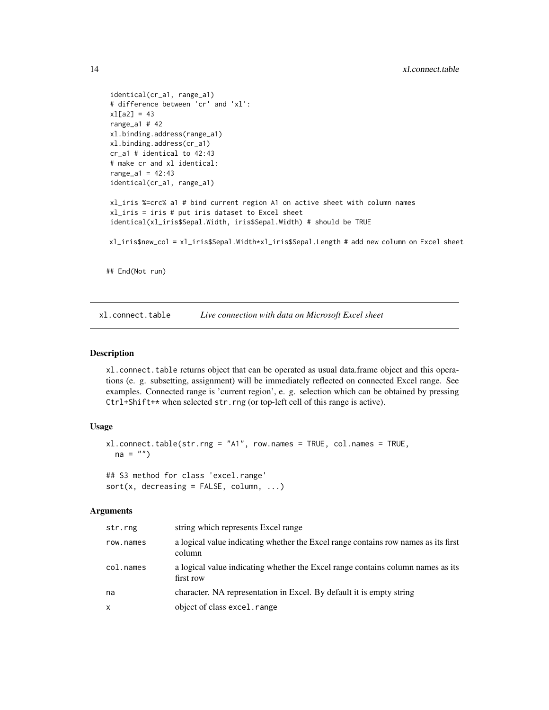```
identical(cr_a1, range_a1)
# difference between 'cr' and 'xl':
x1[a2] = 43range_a1 # 42
xl.binding.address(range_a1)
xl.binding.address(cr_a1)
cr_a1 # identical to 42:43
# make cr and xl identical:
range_a1 = 42:43identical(cr_a1, range_a1)
xl_iris %=crc% a1 # bind current region A1 on active sheet with column names
xl_iris = iris # put iris dataset to Excel sheet
identical(xl_iris$Sepal.Width, iris$Sepal.Width) # should be TRUE
xl_iris$new_col = xl_iris$Sepal.Width*xl_iris$Sepal.Length # add new column on Excel sheet
```
## End(Not run)

<span id="page-13-1"></span>xl.connect.table *Live connection with data on Microsoft Excel sheet*

#### Description

xl.connect.table returns object that can be operated as usual data.frame object and this operations (e. g. subsetting, assignment) will be immediately reflected on connected Excel range. See examples. Connected range is 'current region', e. g. selection which can be obtained by pressing Ctrl+Shift+\* when selected str.rng (or top-left cell of this range is active).

#### Usage

```
xl.connect.table(str.rng = "A1", row.names = TRUE, col.names = TRUE,
 na = "")## S3 method for class 'excel.range'
```

```
sort(x, decreasing = FALSE, column, ...)
```
#### Arguments

| str.rng   | string which represents Excel range                                                          |
|-----------|----------------------------------------------------------------------------------------------|
| row.names | a logical value indicating whether the Excel range contains row names as its first<br>column |
| col.names | a logical value indicating whether the Excel range contains column names as its<br>first row |
| na        | character. NA representation in Excel. By default it is empty string                         |
| x         | object of class excel. range                                                                 |

<span id="page-13-0"></span>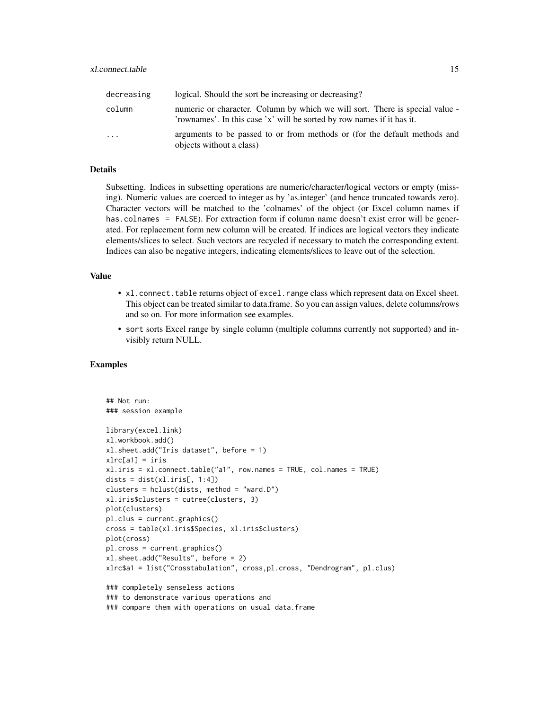| decreasing | logical. Should the sort be increasing or decreasing?                                                                                                  |
|------------|--------------------------------------------------------------------------------------------------------------------------------------------------------|
| column     | numeric or character. Column by which we will sort. There is special value -<br>'rownames'. In this case 'x' will be sorted by row names if it has it. |
| .          | arguments to be passed to or from methods or (for the default methods and<br>objects without a class)                                                  |

#### Details

Subsetting. Indices in subsetting operations are numeric/character/logical vectors or empty (missing). Numeric values are coerced to integer as by 'as.integer' (and hence truncated towards zero). Character vectors will be matched to the 'colnames' of the object (or Excel column names if has.colnames = FALSE). For extraction form if column name doesn't exist error will be generated. For replacement form new column will be created. If indices are logical vectors they indicate elements/slices to select. Such vectors are recycled if necessary to match the corresponding extent. Indices can also be negative integers, indicating elements/slices to leave out of the selection.

# Value

- x1. connect. table returns object of excel. range class which represent data on Excel sheet. This object can be treated similar to data.frame. So you can assign values, delete columns/rows and so on. For more information see examples.
- sort sorts Excel range by single column (multiple columns currently not supported) and invisibly return NULL.

#### Examples

```
## Not run:
### session example
library(excel.link)
xl.workbook.add()
xl.sheet.add("Iris dataset", before = 1)
xlrc[a1] = irisxl.iris = xl.connect.table("a1", row.names = TRUE, col.names = TRUE)
dists = dist(x1.iris[, 1:4])clusters = hclust(dists, method = "ward.D")
xl.iris$clusters = cutree(clusters, 3)
plot(clusters)
pl.clus = current.graphics()
cross = table(xl.iris$Species, xl.iris$clusters)
plot(cross)
pl.cross = current.graphics()
xl.sheet.add("Results", before = 2)
xlrc$a1 = list("Crosstabulation", cross,pl.cross, "Dendrogram", pl.clus)
### completely senseless actions
### to demonstrate various operations and
### compare them with operations on usual data.frame
```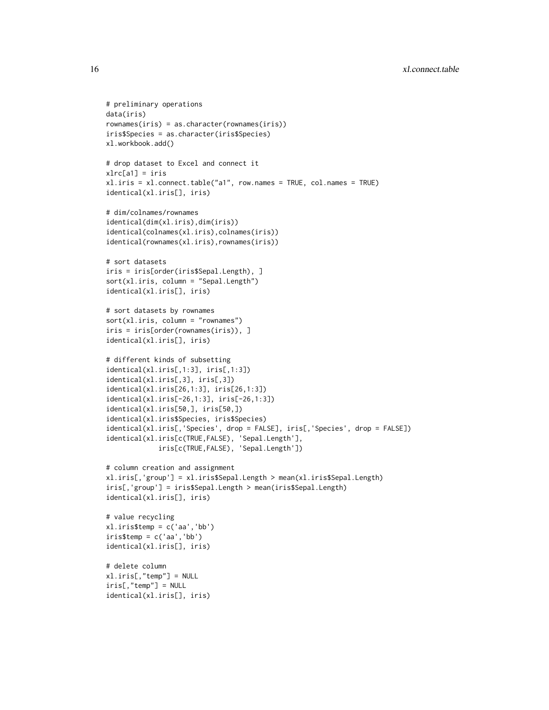```
# preliminary operations
data(iris)
rownames(iris) = as.character(rownames(iris))
iris$Species = as.character(iris$Species)
xl.workbook.add()
# drop dataset to Excel and connect it
xlrc[a1] = irisxl.iris = xl.connect.table("a1", row.names = TRUE, col.names = TRUE)
identical(xl.iris[], iris)
# dim/colnames/rownames
identical(dim(xl.iris),dim(iris))
identical(colnames(xl.iris),colnames(iris))
identical(rownames(xl.iris),rownames(iris))
# sort datasets
iris = iris[order(iris$Sepal.Length), ]
sort(xl.iris, column = "Sepal.Length")
identical(xl.iris[], iris)
# sort datasets by rownames
sort(xl.iris, column = "rownames")
iris = iris[order(rownames(iris)), ]
identical(xl.iris[], iris)
# different kinds of subsetting
identical(xl.iris[,1:3], iris[,1:3])
identical(xl.iris[,3], iris[,3])
identical(xl.iris[26,1:3], iris[26,1:3])
identical(xl.iris[-26,1:3], iris[-26,1:3])
identical(xl.iris[50,], iris[50,])
identical(xl.iris$Species, iris$Species)
identical(xl.iris[,'Species', drop = FALSE], iris[,'Species', drop = FALSE])
identical(xl.iris[c(TRUE,FALSE), 'Sepal.Length'],
             iris[c(TRUE,FALSE), 'Sepal.Length'])
# column creation and assignment
xl.iris[,'group'] = xl.iris$Sepal.Length > mean(xl.iris$Sepal.Length)
iris[,'group'] = iris$Sepal.Length > mean(iris$Sepal.Length)
identical(xl.iris[], iris)
# value recycling
xl.iris$temp = c('aa','bb')
iris$temp = c('aa','bb')
identical(xl.iris[], iris)
# delete column
xl.iris[,"temp"] = NULL
iris[,"temp"] = NULL
identical(xl.iris[], iris)
```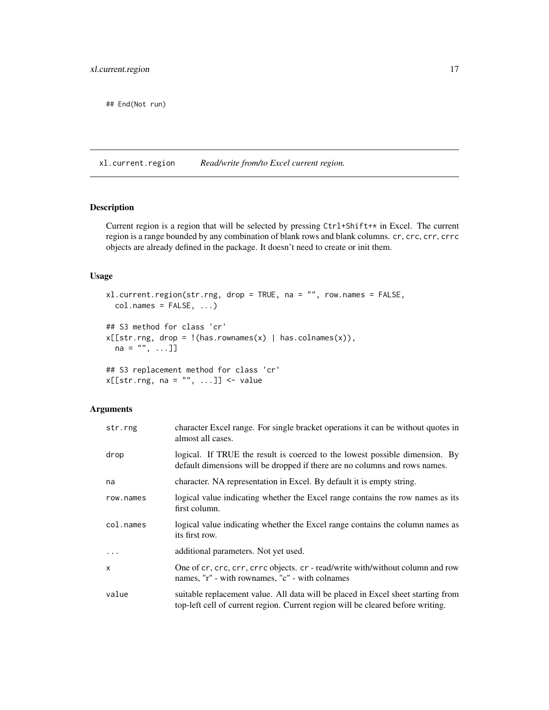<span id="page-16-0"></span>## End(Not run)

<span id="page-16-2"></span>xl.current.region *Read/write from/to Excel current region.*

# <span id="page-16-1"></span>Description

Current region is a region that will be selected by pressing Ctrl+Shift+\* in Excel. The current region is a range bounded by any combination of blank rows and blank columns. cr, crc, crr, crrc objects are already defined in the package. It doesn't need to create or init them.

# Usage

```
xl.current.region(str.rng, drop = TRUE, na = "", row.names = FALSE,
  col.names = FALSE, ...)## S3 method for class 'cr'
x[[str.rng, drop = !(has.rownames(x) | has.colnames(x)),na = "", ... ]]## S3 replacement method for class 'cr'
x[[str.rng, na = "", ...]] \leftarrow value
```
# Arguments

| str.rng   | character Excel range. For single bracket operations it can be without quotes in<br>almost all cases.                                                               |
|-----------|---------------------------------------------------------------------------------------------------------------------------------------------------------------------|
| drop      | logical. If TRUE the result is coerced to the lowest possible dimension. By<br>default dimensions will be dropped if there are no columns and rows names.           |
| na        | character. NA representation in Excel. By default it is empty string.                                                                                               |
| row.names | logical value indicating whether the Excel range contains the row names as its<br>first column.                                                                     |
| col.names | logical value indicating whether the Excel range contains the column names as<br>its first row.                                                                     |
|           | additional parameters. Not yet used.                                                                                                                                |
| X         | One of cr, crc, crr, crrc objects. cr - read/write with/without column and row<br>names, "r" - with rownames, "c" - with colnames                                   |
| value     | suitable replacement value. All data will be placed in Excel sheet starting from<br>top-left cell of current region. Current region will be cleared before writing. |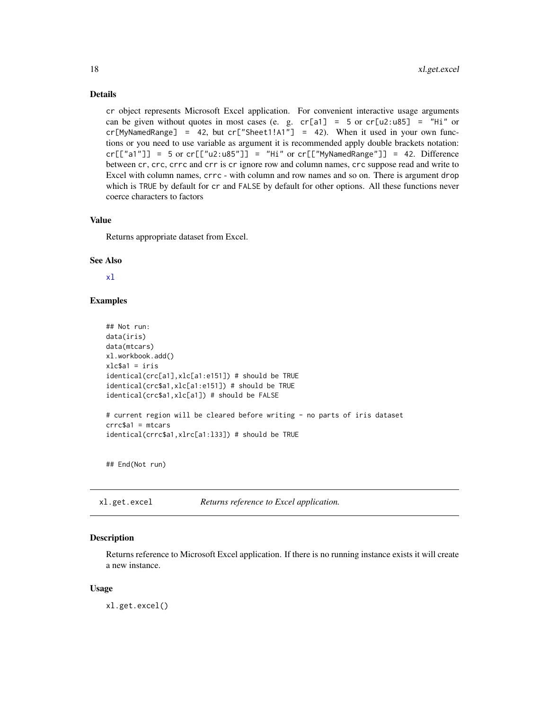# Details

cr object represents Microsoft Excel application. For convenient interactive usage arguments can be given without quotes in most cases (e. g. cr[a1] = 5 or cr[u2:u85] = "Hi" or  $cr[MyNamedRange] = 42$ , but  $cr["Sheet1!A1"] = 42$ ). When it used in your own functions or you need to use variable as argument it is recommended apply double brackets notation:  $cr[["a1"] = 5$  or  $cr[["u2:u85"] = "Hi"$  or  $cr[["MyNamedRange"] = 42$ . Difference between cr, crc, crrc and crr is cr ignore row and column names, crc suppose read and write to Excel with column names, crrc - with column and row names and so on. There is argument drop which is TRUE by default for cr and FALSE by default for other options. All these functions never coerce characters to factors

#### Value

Returns appropriate dataset from Excel.

#### See Also

[xl](#page-8-1)

# Examples

```
## Not run:
data(iris)
data(mtcars)
xl.workbook.add()
xlc$a1 = iris
identical(crc[a1],xlc[a1:e151]) # should be TRUE
identical(crc$a1,xlc[a1:e151]) # should be TRUE
identical(crc$a1,xlc[a1]) # should be FALSE
# current region will be cleared before writing - no parts of iris dataset
crrc$a1 = mtcars
identical(crrc$a1,xlrc[a1:l33]) # should be TRUE
```
## End(Not run)

xl.get.excel *Returns reference to Excel application.*

# Description

Returns reference to Microsoft Excel application. If there is no running instance exists it will create a new instance.

#### Usage

xl.get.excel()

<span id="page-17-0"></span>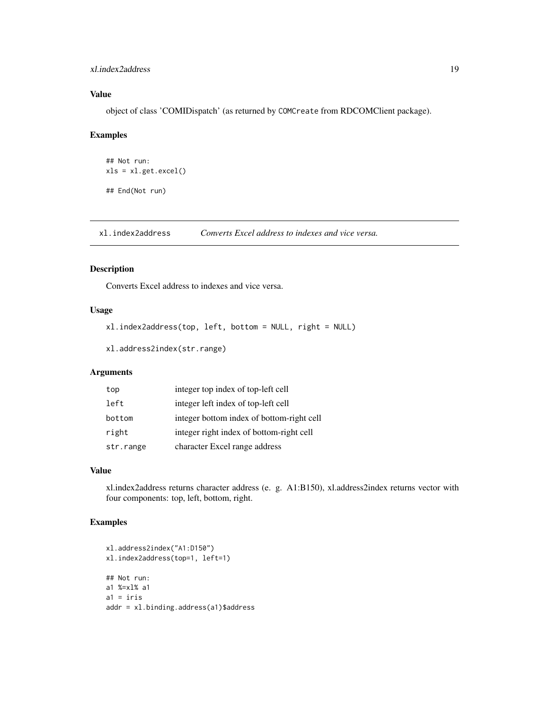# <span id="page-18-0"></span>xl.index2address 19

# Value

object of class 'COMIDispatch' (as returned by COMCreate from RDCOMClient package).

# Examples

```
## Not run:
xls = xl.get.excel()
## End(Not run)
```
xl.index2address *Converts Excel address to indexes and vice versa.*

# Description

Converts Excel address to indexes and vice versa.

# Usage

```
xl.index2address(top, left, bottom = NULL, right = NULL)
```

```
xl.address2index(str.range)
```
# Arguments

| top       | integer top index of top-left cell        |
|-----------|-------------------------------------------|
| left      | integer left index of top-left cell       |
| bottom    | integer bottom index of bottom-right cell |
| right     | integer right index of bottom-right cell  |
| str.range | character Excel range address             |

# Value

xl.index2address returns character address (e. g. A1:B150), xl.address2index returns vector with four components: top, left, bottom, right.

# Examples

```
xl.address2index("A1:D150")
xl.index2address(top=1, left=1)
## Not run:
a1 %=xl% a1
a1 = iris
addr = xl.binding.address(a1)$address
```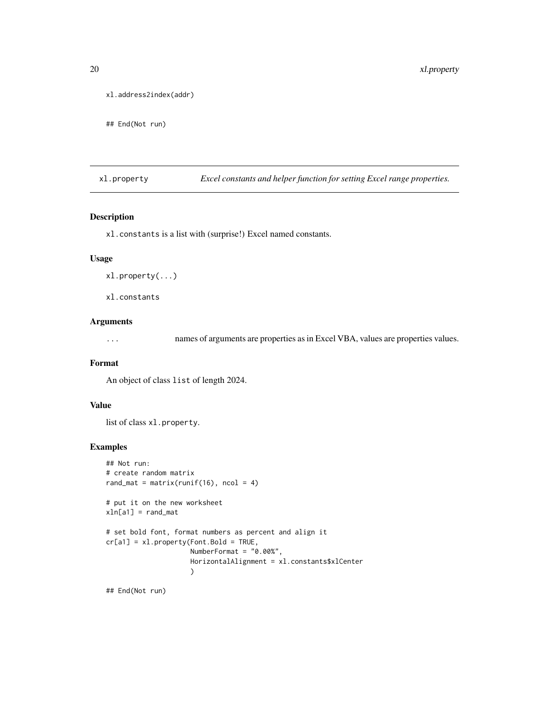```
xl.address2index(addr)
```

```
## End(Not run)
```
xl.property *Excel constants and helper function for setting Excel range properties.*

# Description

xl.constants is a list with (surprise!) Excel named constants.

# Usage

xl.property(...)

xl.constants

# Arguments

... names of arguments are properties as in Excel VBA, values are properties values.

# Format

An object of class list of length 2024.

# Value

list of class xl.property.

#### Examples

```
## Not run:
# create random matrix
rand_mat = matrix(runif(16), ncol = 4)
# put it on the new worksheet
xln[a1] = rand_matrix# set bold font, format numbers as percent and align it
cr[a1] = x1.property(Font.Bold = TRUE,NumberFormat = "0.00%",
                     HorizontalAlignment = xl.constants$xlCenter
                     )
```
## End(Not run)

<span id="page-19-0"></span>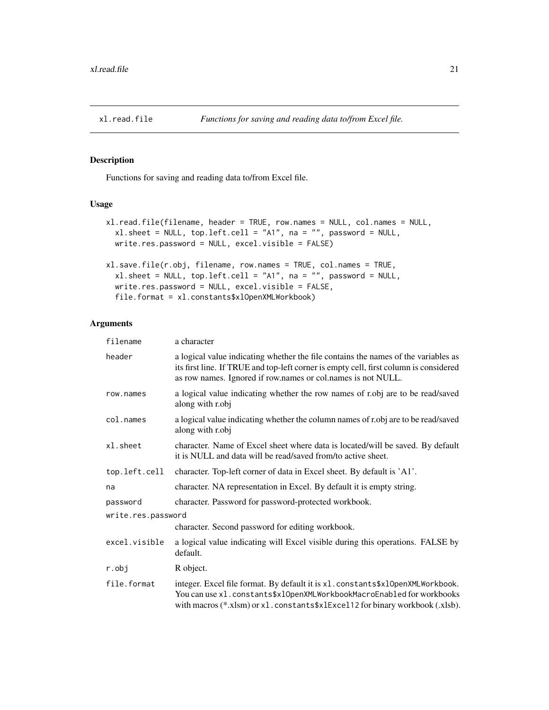<span id="page-20-1"></span><span id="page-20-0"></span>

# <span id="page-20-2"></span>Description

Functions for saving and reading data to/from Excel file.

# Usage

```
xl.read.file(filename, header = TRUE, row.names = NULL, col.names = NULL,
  xl.sheet = NULL, top.left.cell = "A1", na = "", password = NULL,
 write.res.password = NULL, excel.visible = FALSE)
xl.save.file(r.obj, filename, row.names = TRUE, col.names = TRUE,
  xl.sheet = NULL, top.left.cell = "A1", na = "", password = NULL,
 write.res.password = NULL, excel.visible = FALSE,
  file.format = xl.constants$xlOpenXMLWorkbook)
```
#### Arguments

| filename           | a character                                                                                                                                                                                                                                 |
|--------------------|---------------------------------------------------------------------------------------------------------------------------------------------------------------------------------------------------------------------------------------------|
| header             | a logical value indicating whether the file contains the names of the variables as<br>its first line. If TRUE and top-left corner is empty cell, first column is considered<br>as row names. Ignored if row.names or col.names is not NULL. |
| row.names          | a logical value indicating whether the row names of r.obj are to be read/saved<br>along with r.obj                                                                                                                                          |
| col.names          | a logical value indicating whether the column names of r.obj are to be read/saved<br>along with r.obj                                                                                                                                       |
| xl.sheet           | character. Name of Excel sheet where data is located/will be saved. By default<br>it is NULL and data will be read/saved from/to active sheet.                                                                                              |
| top.left.cell      | character. Top-left corner of data in Excel sheet. By default is 'A1'.                                                                                                                                                                      |
| na                 | character. NA representation in Excel. By default it is empty string.                                                                                                                                                                       |
| password           | character. Password for password-protected workbook.                                                                                                                                                                                        |
| write.res.password |                                                                                                                                                                                                                                             |
|                    | character. Second password for editing workbook.                                                                                                                                                                                            |
| excel.visible      | a logical value indicating will Excel visible during this operations. FALSE by<br>default.                                                                                                                                                  |
| r.obj              | R object.                                                                                                                                                                                                                                   |
| file.format        | integer. Excel file format. By default it is x1. constants\$x10penXMLWorkbook.<br>You can use x1. constants\$x10penXMLWorkbookMacroEnabled for workbooks<br>with macros (*.xlsm) or x1. constants\$x1Exce112 for binary workbook (.xlsb).   |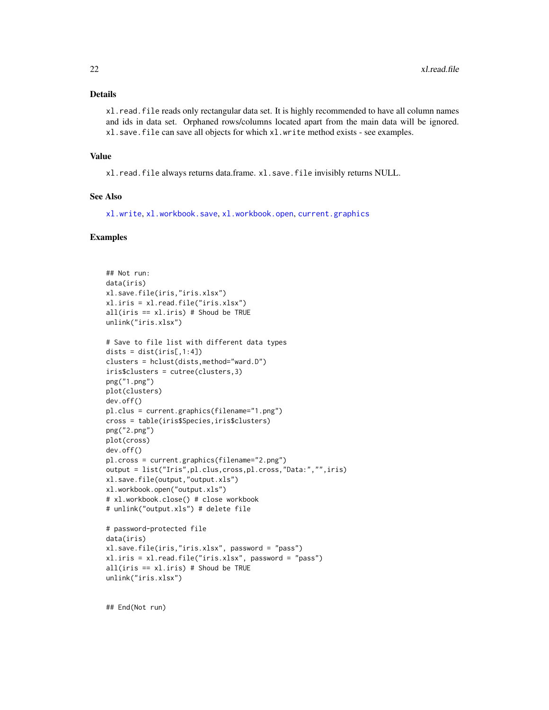# <span id="page-21-0"></span>Details

xl.read.file reads only rectangular data set. It is highly recommended to have all column names and ids in data set. Orphaned rows/columns located apart from the main data will be ignored. xl.save.file can save all objects for which xl.write method exists - see examples.

#### Value

xl.read.file always returns data.frame. xl.save.file invisibly returns NULL.

# See Also

[xl.write](#page-25-1), [xl.workbook.save](#page-23-1), [xl.workbook.open](#page-23-1), [current.graphics](#page-6-1)

# Examples

```
## Not run:
data(iris)
xl.save.file(iris,"iris.xlsx")
xl.iris = xl.read.file("iris.xlsx")
all(iris == xl.iris) # Shoud be TRUE
unlink("iris.xlsx")
# Save to file list with different data types
dists = dist(iris[, 1:4])clusters = hclust(dists,method="ward.D")
iris$clusters = cutree(clusters,3)
png("1.png")
plot(clusters)
dev.off()
pl.clus = current.graphics(filename="1.png")
cross = table(iris$Species,iris$clusters)
png("2.png")
plot(cross)
dev.off()
pl.cross = current.graphics(filename="2.png")
output = list("Iris",pl.clus,cross,pl.cross,"Data:","",iris)
xl.save.file(output,"output.xls")
xl.workbook.open("output.xls")
# xl.workbook.close() # close workbook
# unlink("output.xls") # delete file
# password-protected file
data(iris)
xl.save.file(iris,"iris.xlsx", password = "pass")
```

```
xl.iris = xl.read.file("iris.xlsx", password = "pass")
all(iris == xl.iris) # Shoud be TRUE
unlink("iris.xlsx")
```
## End(Not run)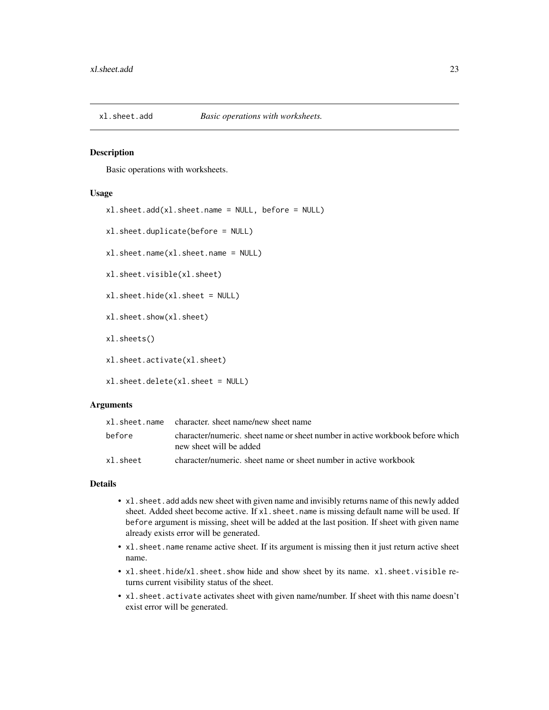<span id="page-22-0"></span>

# <span id="page-22-1"></span>Description

Basic operations with worksheets.

#### Usage

```
xl.sheet.duplicate(before = NULL)
xl.sheet.name(xl.sheet.name = NULL)
xl.sheet.visible(xl.sheet)
xl.sheet.hide(xl.sheet = NULL)
xl.sheet.show(xl.sheet)
xl.sheets()
xl.sheet.activate(xl.sheet)
```
xl.sheet.add(xl.sheet.name = NULL, before = NULL)

xl.sheet.delete(xl.sheet = NULL)

# Arguments

|          | x1. sheet. name character. sheet name/new sheet name                                                     |
|----------|----------------------------------------------------------------------------------------------------------|
| before   | character/numeric, sheet name or sheet number in active workbook before which<br>new sheet will be added |
| xl.sheet | character/numeric, sheet name or sheet number in active workbook                                         |

#### Details

- xl.sheet.add adds new sheet with given name and invisibly returns name of this newly added sheet. Added sheet become active. If x1. sheet. name is missing default name will be used. If before argument is missing, sheet will be added at the last position. If sheet with given name already exists error will be generated.
- xl.sheet.name rename active sheet. If its argument is missing then it just return active sheet name.
- xl.sheet.hide/xl.sheet.show hide and show sheet by its name. xl.sheet.visible returns current visibility status of the sheet.
- xl.sheet.activate activates sheet with given name/number. If sheet with this name doesn't exist error will be generated.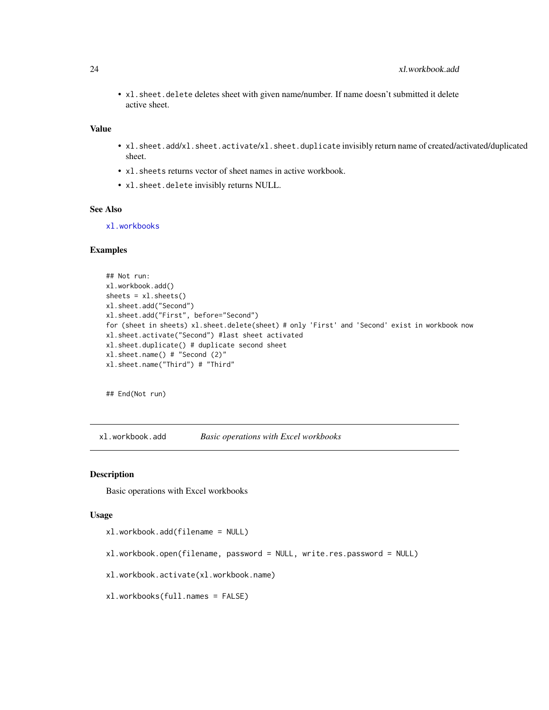<span id="page-23-0"></span>• xl.sheet.delete deletes sheet with given name/number. If name doesn't submitted it delete active sheet.

# Value

- xl.sheet.add/xl.sheet.activate/xl.sheet.duplicate invisibly return name of created/activated/duplicated sheet.
- x1. sheets returns vector of sheet names in active workbook.
- xl.sheet.delete invisibly returns NULL.

# See Also

[xl.workbooks](#page-23-1)

#### Examples

```
## Not run:
xl.workbook.add()
sheets = x1.sheets()
xl.sheet.add("Second")
xl.sheet.add("First", before="Second")
for (sheet in sheets) xl.sheet.delete(sheet) # only 'First' and 'Second' exist in workbook now
xl.sheet.activate("Second") #last sheet activated
xl.sheet.duplicate() # duplicate second sheet
xl.sheet.name() # "Second (2)"
xl.sheet.name("Third") # "Third"
```
## End(Not run)

xl.workbook.add *Basic operations with Excel workbooks*

# <span id="page-23-1"></span>Description

Basic operations with Excel workbooks

#### Usage

```
xl.workbook.add(filename = NULL)
```
- xl.workbook.open(filename, password = NULL, write.res.password = NULL)
- xl.workbook.activate(xl.workbook.name)
- xl.workbooks(full.names = FALSE)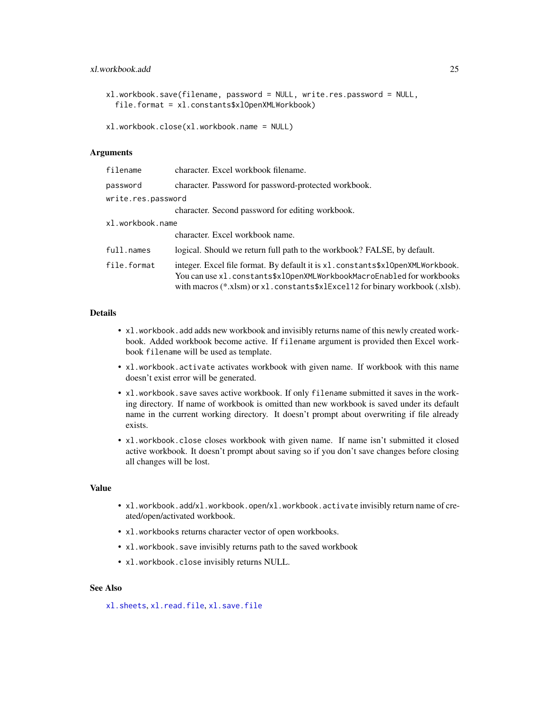# <span id="page-24-0"></span>xl.workbook.add 25

```
xl.workbook.save(filename, password = NULL, write.res.password = NULL,
  file.format = xl.constants$xlOpenXMLWorkbook)
```

```
xl.workbook.close(xl.workbook.name = NULL)
```
# Arguments

| filename           | character. Excel workbook filename.                                                                                                                                                                                                            |
|--------------------|------------------------------------------------------------------------------------------------------------------------------------------------------------------------------------------------------------------------------------------------|
| password           | character. Password for password-protected workbook.                                                                                                                                                                                           |
| write.res.password |                                                                                                                                                                                                                                                |
|                    | character. Second password for editing workbook.                                                                                                                                                                                               |
| xl.workbook.name   |                                                                                                                                                                                                                                                |
|                    | character. Excel workbook name.                                                                                                                                                                                                                |
| full.names         | logical. Should we return full path to the workbook? FALSE, by default.                                                                                                                                                                        |
| file.format        | integer. Excel file format. By default it is x1. constants\$x10penXMLWorkbook.<br>You can use x1.constants\$x10penXMLWorkbookMacroEnabled for workbooks<br>with macros $(*.xlsm)$ or $xl$ . constants $xlExcel12$ for binary workbook (.xlsb). |

# Details

- xl.workbook.add adds new workbook and invisibly returns name of this newly created workbook. Added workbook become active. If filename argument is provided then Excel workbook filename will be used as template.
- xl.workbook.activate activates workbook with given name. If workbook with this name doesn't exist error will be generated.
- xl.workbook.save saves active workbook. If only filename submitted it saves in the working directory. If name of workbook is omitted than new workbook is saved under its default name in the current working directory. It doesn't prompt about overwriting if file already exists.
- xl.workbook.close closes workbook with given name. If name isn't submitted it closed active workbook. It doesn't prompt about saving so if you don't save changes before closing all changes will be lost.

# Value

- xl.workbook.add/xl.workbook.open/xl.workbook.activate invisibly return name of created/open/activated workbook.
- xl.workbooks returns character vector of open workbooks.
- x1.workbook.save invisibly returns path to the saved workbook
- xl.workbook.close invisibly returns NULL.

# See Also

[xl.sheets](#page-22-1), [xl.read.file](#page-20-1), [xl.save.file](#page-20-2)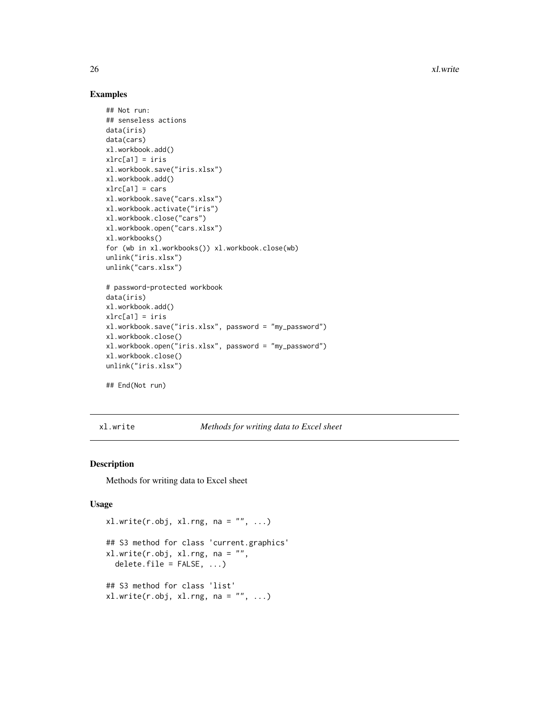26 xl.write

# Examples

```
## Not run:
## senseless actions
data(iris)
data(cars)
xl.workbook.add()
xlrc[a1] = iris
xl.workbook.save("iris.xlsx")
xl.workbook.add()
xlrc[a1] = carsxl.workbook.save("cars.xlsx")
xl.workbook.activate("iris")
xl.workbook.close("cars")
xl.workbook.open("cars.xlsx")
xl.workbooks()
for (wb in xl.workbooks()) xl.workbook.close(wb)
unlink("iris.xlsx")
unlink("cars.xlsx")
# password-protected workbook
data(iris)
xl.workbook.add()
xlrc[a1] = iris
xl.workbook.save("iris.xlsx", password = "my_password")
xl.workbook.close()
xl.workbook.open("iris.xlsx", password = "my_password")
xl.workbook.close()
unlink("iris.xlsx")
## End(Not run)
```
<span id="page-25-1"></span>xl.write *Methods for writing data to Excel sheet*

#### Description

Methods for writing data to Excel sheet

#### Usage

```
x1.write(r.obj, x1.rng, na = "", ...)## S3 method for class 'current.graphics'
x1.write(r.obj, x1.rng, na = "",delete.file = FALSE, ...)## S3 method for class 'list'
x1.write(r.obj, x1.rng, na = "", ...)
```
<span id="page-25-0"></span>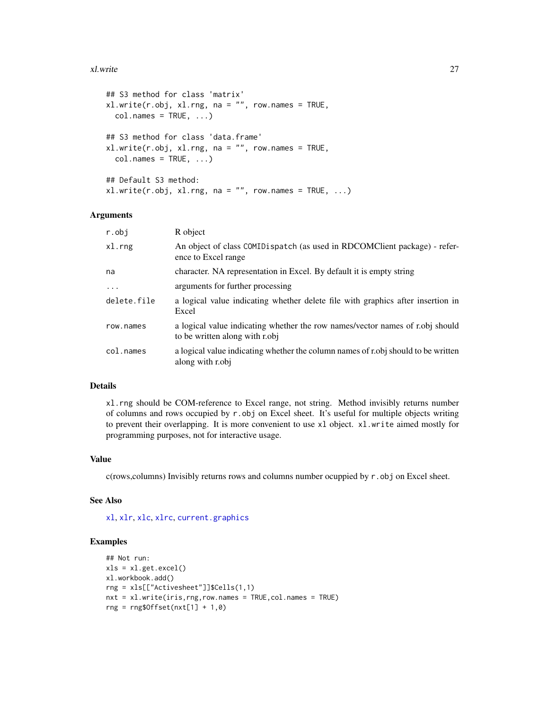#### <span id="page-26-0"></span>xl.write 27

```
## S3 method for class 'matrix'
xl.write(r.obj, xl.rng, na = "", row.names = TRUE,
 col.name = TRUE, ...## S3 method for class 'data.frame'
xl.write(r.obj, xl.rng, na = "", row.names = TRUE,
  col.name = TRUE, ...## Default S3 method:
x1.write(r.obj, x1.rng, na = "", row.name = TRUE, ...)
```
# Arguments

| r.obj       | R object                                                                                                        |
|-------------|-----------------------------------------------------------------------------------------------------------------|
| xl.rng      | An object of class COMIDispatch (as used in RDCOMClient package) - refer-<br>ence to Excel range                |
| na          | character. NA representation in Excel. By default it is empty string                                            |
| $\ddotsc$   | arguments for further processing                                                                                |
| delete.file | a logical value indicating whether delete file with graphics after insertion in<br>Excel                        |
| row.names   | a logical value indicating whether the row names/vector names of r.obj should<br>to be written along with r.obj |
| col.names   | a logical value indicating whether the column names of robi should to be written<br>along with robj             |

## Details

xl.rng should be COM-reference to Excel range, not string. Method invisibly returns number of columns and rows occupied by  $r.$  obj on Excel sheet. It's useful for multiple objects writing to prevent their overlapping. It is more convenient to use xl object. xl.write aimed mostly for programming purposes, not for interactive usage.

# Value

c(rows, columns) Invisibly returns rows and columns number ocuppied by  $r$ . obj on Excel sheet.

# See Also

[xl](#page-8-1), [xlr](#page-8-2), [xlc](#page-8-2), [xlrc](#page-8-2), [current.graphics](#page-6-1)

#### Examples

```
## Not run:
xls = xl.get.excel()
xl.workbook.add()
rng = xls[["Activesheet"]]$Cells(1,1)
nxt = xl.write(iris,rng,row.names = TRUE,col.names = TRUE)
rng = rng$0ffset(nxt[1] + 1,0)
```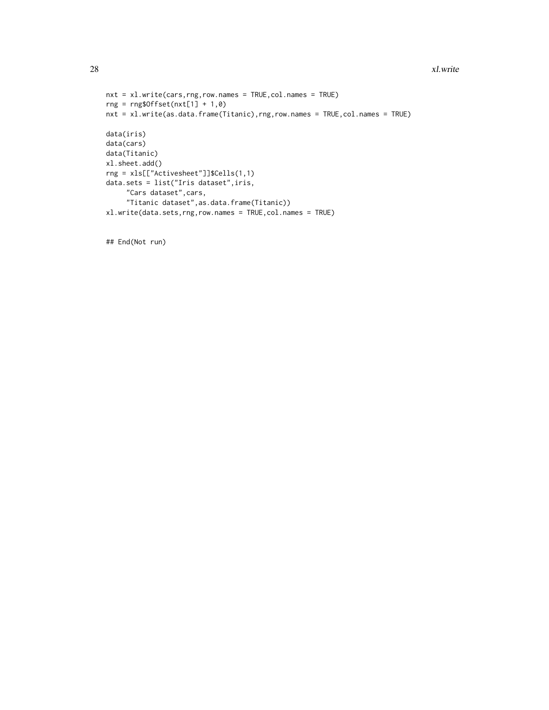```
nxt = xl.write(cars,rng,row.names = TRUE,col.names = TRUE)
rng = rng$Offset(nxt[1] + 1,0)
nxt = xl.write(as.data.frame(Titanic),rng,row.names = TRUE,col.names = TRUE)
data(iris)
data(cars)
data(Titanic)
xl.sheet.add()
rng = xls[["Activesheet"]]$Cells(1,1)
data.sets = list("Iris dataset",iris,
     "Cars dataset",cars,
     "Titanic dataset",as.data.frame(Titanic))
xl.write(data.sets,rng,row.names = TRUE,col.names = TRUE)
```
## End(Not run)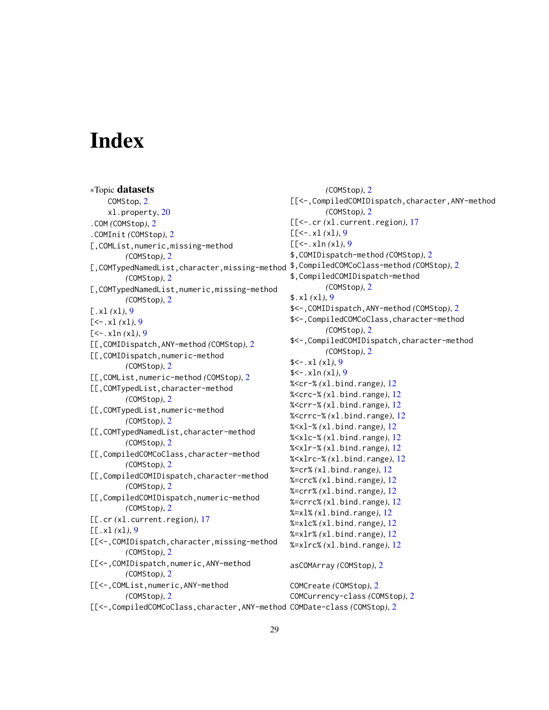# <span id="page-28-0"></span>**Index**

∗Topic datasets COMStop, [2](#page-1-0) xl.property, [20](#page-19-0) .COM *(*COMStop*)*, [2](#page-1-0) .COMInit *(*COMStop*)*, [2](#page-1-0) [,COMList,numeric,missing-method *(*COMStop*)*, [2](#page-1-0) [,COMTypedNamedList,character,missing-method \$,CompiledCOMCoClass-method *(*COMStop*)*, [2](#page-1-0) *(*COMStop*)*, [2](#page-1-0) [,COMTypedNamedList,numeric,missing-method *(*COMStop*)*, [2](#page-1-0) [.xl *(*xl*)*, [9](#page-8-0)  $[-5 - x] (x]$ , [9](#page-8-0) [<-.xln *(*xl*)*, [9](#page-8-0) [[,COMIDispatch,ANY-method *(*COMStop*)*, [2](#page-1-0) [[,COMIDispatch,numeric-method *(*COMStop*)*, [2](#page-1-0) [[,COMList,numeric-method *(*COMStop*)*, [2](#page-1-0) [[,COMTypedList,character-method *(*COMStop*)*, [2](#page-1-0) [[,COMTypedList,numeric-method *(*COMStop*)*, [2](#page-1-0) [[,COMTypedNamedList,character-method *(*COMStop*)*, [2](#page-1-0) [[,CompiledCOMCoClass,character-method *(*COMStop*)*, [2](#page-1-0) [[,CompiledCOMIDispatch,character-method *(*COMStop*)*, [2](#page-1-0) [[,CompiledCOMIDispatch,numeric-method *(*COMStop*)*, [2](#page-1-0) [[.cr *(*xl.current.region*)*, [17](#page-16-0) [[.xl *(*xl*)*, [9](#page-8-0) [[<-,COMIDispatch,character,missing-method *(*COMStop*)*, [2](#page-1-0) [[<-,COMIDispatch,numeric,ANY-method *(*COMStop*)*, [2](#page-1-0) [[<-,COMList,numeric,ANY-method *(*COMStop*)*, [2](#page-1-0) [[<-,CompiledCOMCoClass,character,ANY-method COMDate-class *(*COMStop*)*, [2](#page-1-0) *(*COMStop*)*, [2](#page-1-0) [[<-,CompiledCOMIDispatch,character,ANY-method *(*COMStop*)*, [2](#page-1-0) [[<-.cr *(*xl.current.region*)*, [17](#page-16-0)  $[[-(-x1(x1), 9)]$  $[[-(-x1(x1), 9)]$  $[[-(-x1(x1), 9)]$ [[<-.xln *(*xl*)*, [9](#page-8-0) \$,COMIDispatch-method *(*COMStop*)*, [2](#page-1-0) \$,CompiledCOMIDispatch-method *(*COMStop*)*, [2](#page-1-0) \$.xl *(*xl*)*, [9](#page-8-0) \$<-,COMIDispatch,ANY-method *(*COMStop*)*, [2](#page-1-0) \$<-,CompiledCOMCoClass,character-method *(*COMStop*)*, [2](#page-1-0) \$<-,CompiledCOMIDispatch,character-method *(*COMStop*)*, [2](#page-1-0)  $$<-x1(x1), 9$  $$<-x1(x1), 9$ \$<-.xln *(*xl*)*, [9](#page-8-0) %<cr-% *(*xl.bind.range*)*, [12](#page-11-0) %<crc-% *(*xl.bind.range*)*, [12](#page-11-0) %<crr-% *(*xl.bind.range*)*, [12](#page-11-0) %<crrc-% *(*xl.bind.range*)*, [12](#page-11-0) %<xl-% *(*xl.bind.range*)*, [12](#page-11-0) %<xlc-% *(*xl.bind.range*)*, [12](#page-11-0) %<xlr-% *(*xl.bind.range*)*, [12](#page-11-0) %<xlrc-% *(*xl.bind.range*)*, [12](#page-11-0) %=cr% *(*xl.bind.range*)*, [12](#page-11-0) %=crc% *(*xl.bind.range*)*, [12](#page-11-0) %=crr% *(*xl.bind.range*)*, [12](#page-11-0) %=crrc% *(*xl.bind.range*)*, [12](#page-11-0) %=xl% *(*xl.bind.range*)*, [12](#page-11-0) %=xlc% *(*xl.bind.range*)*, [12](#page-11-0) %=xlr% *(*xl.bind.range*)*, [12](#page-11-0) %=xlrc% *(*xl.bind.range*)*, [12](#page-11-0) asCOMArray *(*COMStop*)*, [2](#page-1-0) COMCreate *(*COMStop*)*, [2](#page-1-0) COMCurrency-class *(*COMStop*)*, [2](#page-1-0)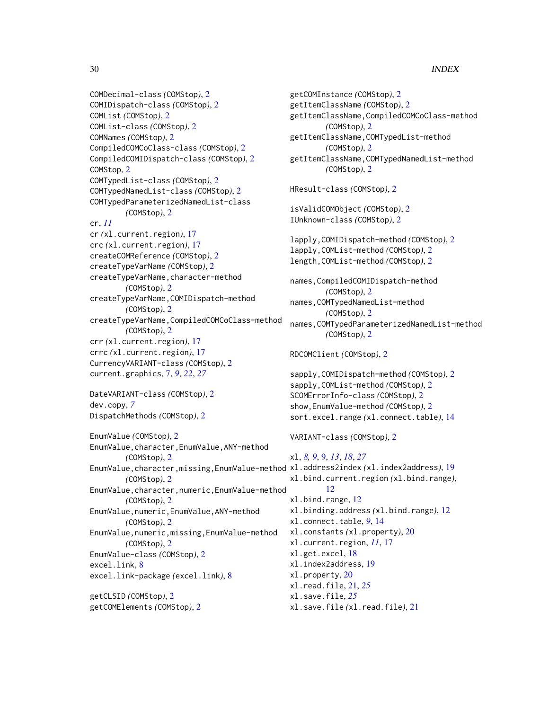# 30 INDEX

```
COMDecimal-class (COMStop), 2
COMIDispatch-class (COMStop), 2
COMList (COMStop), 2
COMList-class (COMStop), 2
COMNames (COMStop), 2
CompiledCOMCoClass-class (COMStop), 2
CompiledCOMIDispatch-class (COMStop), 2
COMStop, 2
COMTypedList-class (COMStop), 2
COMTypedNamedList-class (COMStop), 2
COMTypedParameterizedNamedList-class
        (COMStop), 2
cr, 11
cr (xl.current.region), 17
crc (xl.current.region), 17
createCOMReference (COMStop), 2
createTypeVarName (COMStop), 2
createTypeVarName, character-method
        (COMStop), 2
createTypeVarName,COMIDispatch-method
        (COMStop), 2
createTypeVarName,CompiledCOMCoClass-method
        (COMStop), 2
crr (xl.current.region), 17
crrc (xl.current.region), 17
CurrencyVARIANT-class (COMStop), 2
current.graphics, 7, 9, 22, 27
DateVARIANT-class (COMStop), 2
dev.copy, 7
DispatchMethods (COMStop), 2
EnumValue (COMStop), 2
EnumValue,character,EnumValue,ANY-method
        (COMStop), 2
EnumValue,character,missing,EnumValue-method
xl.address2index (xl.index2address), 19
        (COMStop), 2
EnumValue,character,numeric,EnumValue-method
        (COMStop), 2
EnumValue,numeric,EnumValue,ANY-method
        (COMStop), 2
EnumValue,numeric,missing,EnumValue-method
        (COMStop), 2
EnumValue-class (COMStop), 2
excel.link, 8
excel.link-package (excel.link), 8
getCLSID (COMStop), 2
getCOMElements (COMStop), 2
```

```
getCOMInstance (COMStop), 2
getItemClassName (COMStop), 2
getItemClassName,CompiledCOMCoClass-method
        (COMStop), 2
getItemClassName,COMTypedList-method
        (COMStop), 2
getItemClassName,COMTypedNamedList-method
        (COMStop), 2
HResult-class (COMStop), 2
isValidCOMObject (COMStop), 2
IUnknown-class (COMStop), 2
lapply,COMIDispatch-method (COMStop), 2
lapply,COMList-method (COMStop), 2
length,COMList-method (COMStop), 2
names,CompiledCOMIDispatch-method
        (COMStop), 2
names,COMTypedNamedList-method
        (COMStop), 2
names,COMTypedParameterizedNamedList-method
        (COMStop), 2
RDCOMClient (COMStop), 2
sapply,COMIDispatch-method (COMStop), 2
sapply,COMList-method (COMStop), 2
SCOMErrorInfo-class (COMStop), 2
show,EnumValue-method (COMStop), 2
sort.excel.range (xl.connect.table), 14
VARIANT-class (COMStop), 2
xl, 8, 9, 9, 13, 18, 27
xl.bind.current.region (xl.bind.range),
        12
xl.bind.range, 12
xl.binding.address (xl.bind.range), 12
xl.connect.table, 9, 14
xl.constants (xl.property), 20
xl.current.region, 11, 17
xl.get.excel, 18
xl.index2address, 19
xl.property, 20
xl.read.file, 21, 25
xl.save.file, 25
xl.save.file (xl.read.file), 21
```